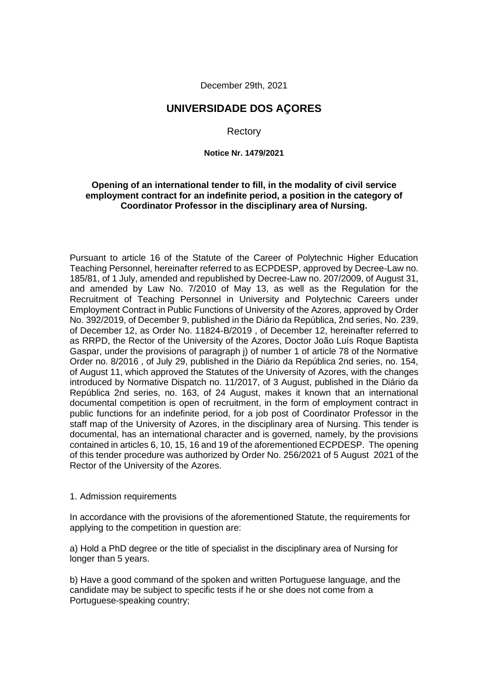December 29th, 2021

# **UNIVERSIDADE DOS AÇORES**

**Rectory** 

**Notice Nr. 1479/2021**

#### **Opening of an international tender to fill, in the modality of civil service employment contract for an indefinite period, a position in the category of Coordinator Professor in the disciplinary area of Nursing.**

Pursuant to article 16 of the Statute of the Career of Polytechnic Higher Education Teaching Personnel, hereinafter referred to as ECPDESP, approved by Decree-Law no. 185/81, of 1 July, amended and republished by Decree-Law no. 207/2009, of August 31, and amended by Law No. 7/2010 of May 13, as well as the Regulation for the Recruitment of Teaching Personnel in University and Polytechnic Careers under Employment Contract in Public Functions of University of the Azores, approved by Order No. 392/2019, of December 9, published in the Diário da República, 2nd series, No. 239, of December 12, as Order No. 11824-B/2019 , of December 12, hereinafter referred to as RRPD, the Rector of the University of the Azores, Doctor João Luís Roque Baptista Gaspar, under the provisions of paragraph j) of number 1 of article 78 of the Normative Order no. 8/2016 , of July 29, published in the Diário da República 2nd series, no. 154, of August 11, which approved the Statutes of the University of Azores, with the changes introduced by Normative Dispatch no. 11/2017, of 3 August, published in the Diário da República 2nd series, no. 163, of 24 August, makes it known that an international documental competition is open of recruitment, in the form of employment contract in public functions for an indefinite period, for a job post of Coordinator Professor in the staff map of the University of Azores, in the disciplinary area of Nursing. This tender is documental, has an international character and is governed, namely, by the provisions contained in articles 6, 10, 15, 16 and 19 of the aforementioned ECPDESP. The opening of this tender procedure was authorized by Order No. 256/2021 of 5 August 2021 of the Rector of the University of the Azores.

#### 1. Admission requirements

In accordance with the provisions of the aforementioned Statute, the requirements for applying to the competition in question are:

a) Hold a PhD degree or the title of specialist in the disciplinary area of Nursing for longer than 5 years.

b) Have a good command of the spoken and written Portuguese language, and the candidate may be subject to specific tests if he or she does not come from a Portuguese-speaking country;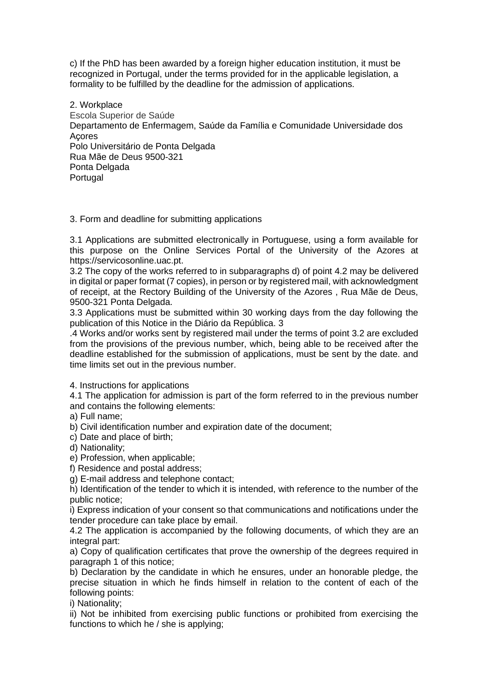c) If the PhD has been awarded by a foreign higher education institution, it must be recognized in Portugal, under the terms provided for in the applicable legislation, a formality to be fulfilled by the deadline for the admission of applications.

2. Workplace Escola Superior de Saúde Departamento de Enfermagem, Saúde da Família e Comunidade Universidade dos Açores Polo Universitário de Ponta Delgada Rua Mãe de Deus 9500-321 Ponta Delgada Portugal

## 3. Form and deadline for submitting applications

3.1 Applications are submitted electronically in Portuguese, using a form available for this purpose on the Online Services Portal of the University of the Azores at https://servicosonline.uac.pt.

3.2 The copy of the works referred to in subparagraphs d) of point 4.2 may be delivered in digital or paper format (7 copies), in person or by registered mail, with acknowledgment of receipt, at the Rectory Building of the University of the Azores , Rua Mãe de Deus, 9500-321 Ponta Delgada.

3.3 Applications must be submitted within 30 working days from the day following the publication of this Notice in the Diário da República. 3

.4 Works and/or works sent by registered mail under the terms of point 3.2 are excluded from the provisions of the previous number, which, being able to be received after the deadline established for the submission of applications, must be sent by the date. and time limits set out in the previous number.

4. Instructions for applications

4.1 The application for admission is part of the form referred to in the previous number and contains the following elements:

a) Full name;

b) Civil identification number and expiration date of the document;

c) Date and place of birth;

d) Nationality;

e) Profession, when applicable;

f) Residence and postal address;

g) E-mail address and telephone contact;

h) Identification of the tender to which it is intended, with reference to the number of the public notice;

i) Express indication of your consent so that communications and notifications under the tender procedure can take place by email.

4.2 The application is accompanied by the following documents, of which they are an integral part:

a) Copy of qualification certificates that prove the ownership of the degrees required in paragraph 1 of this notice;

b) Declaration by the candidate in which he ensures, under an honorable pledge, the precise situation in which he finds himself in relation to the content of each of the following points:

i) Nationality;

ii) Not be inhibited from exercising public functions or prohibited from exercising the functions to which he / she is applying;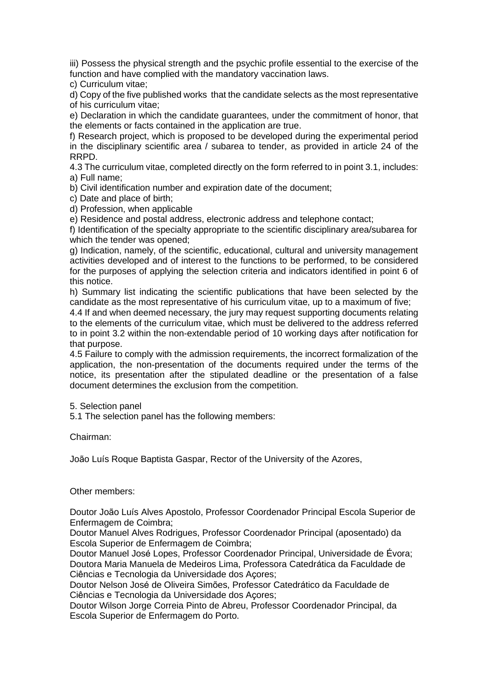iii) Possess the physical strength and the psychic profile essential to the exercise of the function and have complied with the mandatory vaccination laws.

c) Curriculum vitae;

d) Copy of the five published works that the candidate selects as the most representative of his curriculum vitae;

e) Declaration in which the candidate guarantees, under the commitment of honor, that the elements or facts contained in the application are true.

f) Research project, which is proposed to be developed during the experimental period in the disciplinary scientific area / subarea to tender, as provided in article 24 of the RRPD.

4.3 The curriculum vitae, completed directly on the form referred to in point 3.1, includes: a) Full name;

b) Civil identification number and expiration date of the document;

c) Date and place of birth;

d) Profession, when applicable

e) Residence and postal address, electronic address and telephone contact;

f) Identification of the specialty appropriate to the scientific disciplinary area/subarea for which the tender was opened;

g) Indication, namely, of the scientific, educational, cultural and university management activities developed and of interest to the functions to be performed, to be considered for the purposes of applying the selection criteria and indicators identified in point 6 of this notice.

h) Summary list indicating the scientific publications that have been selected by the candidate as the most representative of his curriculum vitae, up to a maximum of five;

4.4 If and when deemed necessary, the jury may request supporting documents relating to the elements of the curriculum vitae, which must be delivered to the address referred to in point 3.2 within the non-extendable period of 10 working days after notification for that purpose.

4.5 Failure to comply with the admission requirements, the incorrect formalization of the application, the non-presentation of the documents required under the terms of the notice, its presentation after the stipulated deadline or the presentation of a false document determines the exclusion from the competition.

5. Selection panel

5.1 The selection panel has the following members:

Chairman:

João Luís Roque Baptista Gaspar, Rector of the University of the Azores,

#### Other members:

Doutor João Luís Alves Apostolo, Professor Coordenador Principal Escola Superior de Enfermagem de Coimbra;

Doutor Manuel Alves Rodrigues, Professor Coordenador Principal (aposentado) da Escola Superior de Enfermagem de Coimbra;

Doutor Manuel José Lopes, Professor Coordenador Principal, Universidade de Évora; Doutora Maria Manuela de Medeiros Lima, Professora Catedrática da Faculdade de Ciências e Tecnologia da Universidade dos Açores;

Doutor Nelson José de Oliveira Simões, Professor Catedrático da Faculdade de Ciências e Tecnologia da Universidade dos Açores;

Doutor Wilson Jorge Correia Pinto de Abreu, Professor Coordenador Principal, da Escola Superior de Enfermagem do Porto.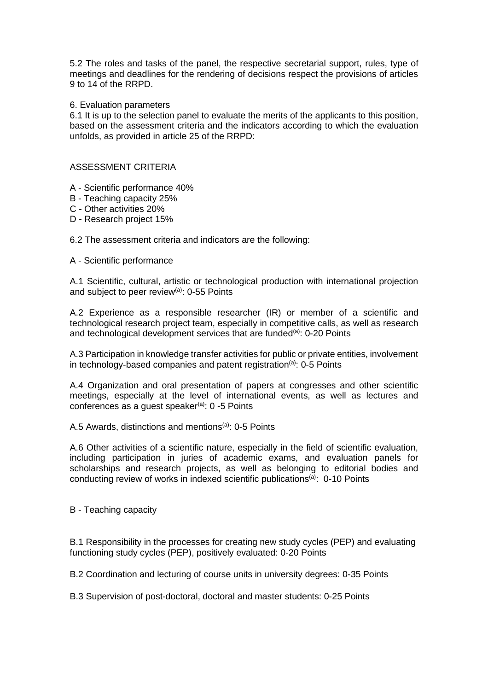5.2 The roles and tasks of the panel, the respective secretarial support, rules, type of meetings and deadlines for the rendering of decisions respect the provisions of articles 9 to 14 of the RRPD.

#### 6. Evaluation parameters

6.1 It is up to the selection panel to evaluate the merits of the applicants to this position, based on the assessment criteria and the indicators according to which the evaluation unfolds, as provided in article 25 of the RRPD:

## ASSESSMENT CRITERIA

- A Scientific performance 40%
- B Teaching capacity 25%
- C Other activities 20%
- D Research project 15%

6.2 The assessment criteria and indicators are the following:

A - Scientific performance

A.1 Scientific, cultural, artistic or technological production with international projection and subject to peer review<sup>(a)</sup>: 0-55 Points

A.2 Experience as a responsible researcher (IR) or member of a scientific and technological research project team, especially in competitive calls, as well as research and technological development services that are funded<sup>(a)</sup>:  $0\n-20$  Points

A.3 Participation in knowledge transfer activities for public or private entities, involvement in technology-based companies and patent registration $(a)$ : 0-5 Points

A.4 Organization and oral presentation of papers at congresses and other scientific meetings, especially at the level of international events, as well as lectures and conferences as a guest speaker<sup>(a)</sup>: 0 -5 Points

A.5 Awards, distinctions and mentions<sup>(a)</sup>:  $0-5$  Points

A.6 Other activities of a scientific nature, especially in the field of scientific evaluation, including participation in juries of academic exams, and evaluation panels for scholarships and research projects, as well as belonging to editorial bodies and conducting review of works in indexed scientific publications<sup>(a)</sup>: 0-10 Points

B - Teaching capacity

B.1 Responsibility in the processes for creating new study cycles (PEP) and evaluating functioning study cycles (PEP), positively evaluated: 0-20 Points

B.2 Coordination and lecturing of course units in university degrees: 0-35 Points

B.3 Supervision of post-doctoral, doctoral and master students: 0-25 Points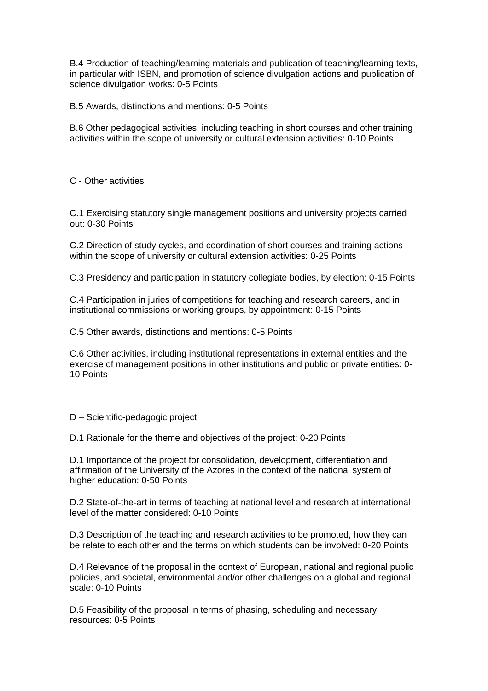B.4 Production of teaching/learning materials and publication of teaching/learning texts, in particular with ISBN, and promotion of science divulgation actions and publication of science divulgation works: 0-5 Points

B.5 Awards, distinctions and mentions: 0-5 Points

B.6 Other pedagogical activities, including teaching in short courses and other training activities within the scope of university or cultural extension activities: 0-10 Points

C - Other activities

C.1 Exercising statutory single management positions and university projects carried out: 0-30 Points

C.2 Direction of study cycles, and coordination of short courses and training actions within the scope of university or cultural extension activities: 0-25 Points

C.3 Presidency and participation in statutory collegiate bodies, by election: 0-15 Points

C.4 Participation in juries of competitions for teaching and research careers, and in institutional commissions or working groups, by appointment: 0-15 Points

C.5 Other awards, distinctions and mentions: 0-5 Points

C.6 Other activities, including institutional representations in external entities and the exercise of management positions in other institutions and public or private entities: 0- 10 Points

D – Scientific-pedagogic project

D.1 Rationale for the theme and objectives of the project: 0-20 Points

D.1 Importance of the project for consolidation, development, differentiation and affirmation of the University of the Azores in the context of the national system of higher education: 0-50 Points

D.2 State-of-the-art in terms of teaching at national level and research at international level of the matter considered: 0-10 Points

D.3 Description of the teaching and research activities to be promoted, how they can be relate to each other and the terms on which students can be involved: 0-20 Points

D.4 Relevance of the proposal in the context of European, national and regional public policies, and societal, environmental and/or other challenges on a global and regional scale: 0-10 Points

D.5 Feasibility of the proposal in terms of phasing, scheduling and necessary resources: 0-5 Points